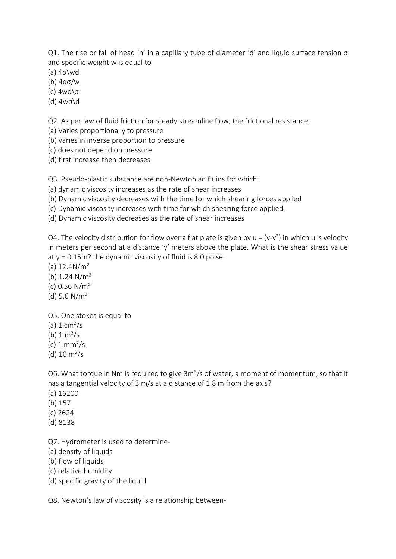Q1. The rise or fall of head 'h' in a capillary tube of diameter 'd' and liquid surface tension σ and specific weight w is equal to

- (a) 4σ\wd
- (b) 4dσ/w
- (c) 4wd\σ
- (d) 4wσ\d

Q2. As per law of fluid friction for steady streamline flow, the frictional resistance;

(a) Varies proportionally to pressure

(b) varies in inverse proportion to pressure

- (c) does not depend on pressure
- (d) first increase then decreases

Q3. Pseudo-plastic substance are non-Newtonian fluids for which:

- (a) dynamic viscosity increases as the rate of shear increases
- (b) Dynamic viscosity decreases with the time for which shearing forces applied
- (c) Dynamic viscosity increases with time for which shearing force applied.
- (d) Dynamic viscosity decreases as the rate of shear increases

Q4. The velocity distribution for flow over a flat plate is given by  $u = (y-y^2)$  in which u is velocity in meters per second at a distance 'y' meters above the plate. What is the shear stress value at  $y = 0.15$ m? the dynamic viscosity of fluid is 8.0 poise.

(a)  $12.4N/m<sup>2</sup>$ 

- (b) 1.24 N/m²
- (c)  $0.56$  N/m<sup>2</sup>
- (d) 5.6  $N/m^2$
- Q5. One stokes is equal to (a)  $1 \text{ cm}^2$ /s
- (b)  $1 \, \text{m}^2/\text{s}$
- $(c)$  1 mm<sup>2</sup>/s
- 
- (d)  $10 \text{ m}^2/\text{s}$

Q6. What torque in Nm is required to give  $3m<sup>3</sup>/s$  of water, a moment of momentum, so that it has a tangential velocity of 3 m/s at a distance of 1.8 m from the axis?

- (a) 16200
- (b) 157
- (c) 2624
- (d) 8138
- Q7. Hydrometer is used to determine-
- (a) density of liquids
- (b) flow of liquids
- (c) relative humidity
- (d) specific gravity of the liquid

Q8. Newton's law of viscosity is a relationship between-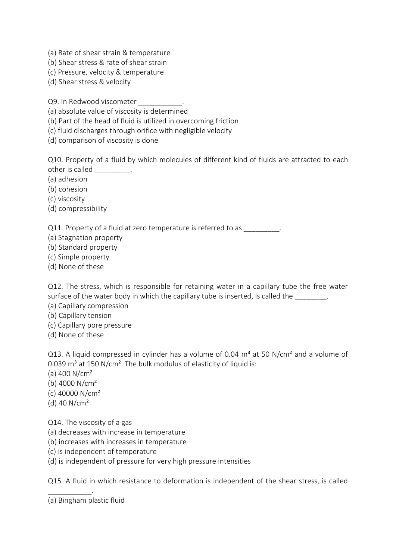- (a) Rate of shear strain & temperature
- (b) Shear stress & rate of shear strain
- (c) Pressure, velocity & temperature
- (d) Shear stress & velocity

Q9. In Redwood viscometer

- (a) absolute value of viscosity is determined
- (b) Part of the head of fluid is utilized in overcoming friction
- (c) fluid discharges through orifice with negligible velocity
- (d) comparison of viscosity is done

Q10. Property of a fluid by which molecules of different kind of fluids are attracted to each other is called \_\_\_\_\_\_\_\_\_.

- (a) adhesion
- (b) cohesion
- (c) viscosity
- (d) compressibility

Q11. Property of a fluid at zero temperature is referred to as

- (a) Stagnation property
- (b) Standard property
- (c) Simple property
- (d) None of these

Q12. The stress, which is responsible for retaining water in a capillary tube the free water surface of the water body in which the capillary tube is inserted, is called the

- (a) Capillary compression
- (b) Capillary tension
- (c) Capillary pore pressure
- (d) None of these

Q13. A liquid compressed in cylinder has a volume of 0.04  $m<sup>3</sup>$  at 50 N/cm<sup>2</sup> and a volume of 0.039  $m<sup>3</sup>$  at 150 N/cm<sup>2</sup>. The bulk modulus of elasticity of liquid is:

- (a)  $400 \text{ N/cm}^2$
- (b) 4000  $N/cm<sup>2</sup>$
- (c) 40000 N/cm²
- (d) 40 N/cm²
- Q14. The viscosity of a gas
- (a) decreases with increase in temperature
- (b) increases with increases in temperature
- (c) is independent of temperature
- (d) is independent of pressure for very high pressure intensities

Q15. A fluid in which resistance to deformation is independent of the shear stress, is called

\_\_\_\_\_\_\_\_\_\_\_.

<sup>(</sup>a) Bingham plastic fluid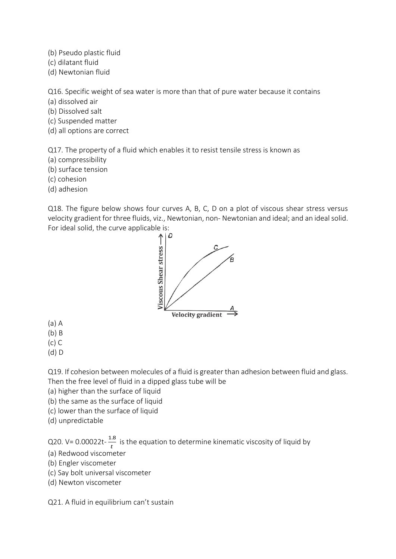- (b) Pseudo plastic fluid
- (c) dilatant fluid
- (d) Newtonian fluid

Q16. Specific weight of sea water is more than that of pure water because it contains

- (a) dissolved air
- (b) Dissolved salt
- (c) Suspended matter
- (d) all options are correct

Q17. The property of a fluid which enables it to resist tensile stress is known as

- (a) compressibility
- (b) surface tension
- (c) cohesion
- (d) adhesion

Q18. The figure below shows four curves A, B, C, D on a plot of viscous shear stress versus velocity gradient for three fluids, viz., Newtonian, non- Newtonian and ideal; and an ideal solid. For ideal solid, the curve applicable is:<br>4 |  $\uparrow$ 



- (a) A
- (b) B
- (c) C
- (d) D

Q19. If cohesion between molecules of a fluid is greater than adhesion between fluid and glass. Then the free level of fluid in a dipped glass tube will be

- (a) higher than the surface of liquid
- (b) the same as the surface of liquid
- (c) lower than the surface of liquid
- (d) unpredictable

Q20.  $V = 0.00022t - \frac{1.8}{t}$  $\frac{1}{t}$  is the equation to determine kinematic viscosity of liquid by

- (a) Redwood viscometer
- (b) Engler viscometer
- (c) Say bolt universal viscometer
- (d) Newton viscometer

Q21. A fluid in equilibrium can't sustain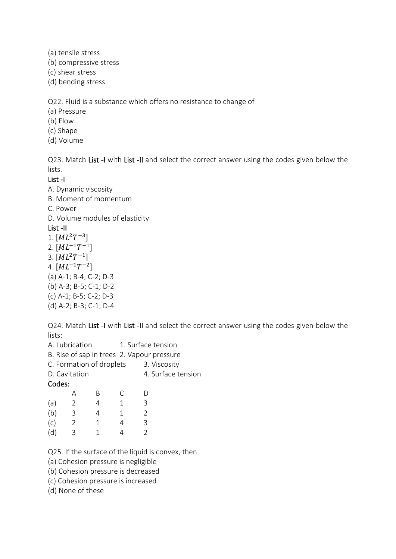(a) tensile stress

(b) compressive stress

(c) shear stress

(d) bending stress

Q22. Fluid is a substance which offers no resistance to change of

(a) Pressure

(b) Flow

(c) Shape

(d) Volume

Q23. Match List -I with List -II and select the correct answer using the codes given below the lists.

List -I

A. Dynamic viscosity

B. Moment of momentum

C. Power

D. Volume modules of elasticity

List -II

1.  $[ML^{2}T^{-3}]$  $2. [ML^{-1}T^{-1}]$ 3.  $[ML^{2}T^{-1}]$ 4.  $[ML^{-1}T^{-2}]$ (a) A-1; B-4; C-2; D-3 (b) A-3; B-5; C-1; D-2 (c) A-1; B-5; C-2; D-3 (d) A-2; B-3; C-1; D-4

Q24. Match List -I with List -II and select the correct answer using the codes given below the lists:

|        | A. Lubrication |                          |   | 1. Surface tension                         |                    |  |  |
|--------|----------------|--------------------------|---|--------------------------------------------|--------------------|--|--|
|        |                |                          |   | B. Rise of sap in trees 2. Vapour pressure |                    |  |  |
|        |                | C. Formation of droplets |   | 3. Viscosity                               |                    |  |  |
|        | D. Cavitation  |                          |   |                                            | 4. Surface tension |  |  |
| Codes: |                |                          |   |                                            |                    |  |  |
|        | А              | В                        | C |                                            |                    |  |  |
| (a)    | 2              | $\overline{4}$           | 1 | 3                                          |                    |  |  |
| (b)    | 3              | 4                        | 1 | $\mathfrak{D}$                             |                    |  |  |
| (c)    | 2              | 1                        | 4 | 3                                          |                    |  |  |
| (d)    | ξ              | 1                        |   | $\mathcal{P}$                              |                    |  |  |
|        |                |                          |   |                                            |                    |  |  |

Q25. If the surface of the liquid is convex, then

(a) Cohesion pressure is negligible

(b) Cohesion pressure is decreased

(c) Cohesion pressure is increased

(d) None of these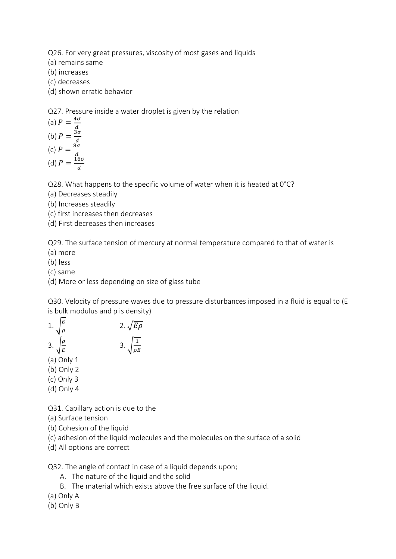Q26. For very great pressures, viscosity of most gases and liquids

(a) remains same

(b) increases

(c) decreases

(d) shown erratic behavior

Q27. Pressure inside a water droplet is given by the relation

(a) 
$$
P = \frac{4\sigma}{d}
$$
  
\n(b)  $P = \frac{3\sigma}{d}$   
\n(c)  $P = \frac{8\sigma}{d}$   
\n(d)  $P = \frac{16\sigma}{d}$ 

Q28. What happens to the specific volume of water when it is heated at 0°C?

(a) Decreases steadily

(b) Increases steadily

(c) first increases then decreases

(d) First decreases then increases

Q29. The surface tension of mercury at normal temperature compared to that of water is

(a) more

(b) less

(c) same

(d) More or less depending on size of glass tube

Q30. Velocity of pressure waves due to pressure disturbances imposed in a fluid is equal to (E is bulk modulus and ρ is density)

1. 
$$
\sqrt{\frac{E}{\rho}}
$$
  
\n2.  $\sqrt{E\rho}$   
\n3.  $\sqrt{\frac{\rho}{E}}$   
\n3.  $\sqrt{\frac{1}{\rho E}}$   
\n(a) Only 1  
\n(b) Only 2  
\n(c) Only 3

(d) Only 4

Q31. Capillary action is due to the

(a) Surface tension

- (b) Cohesion of the liquid
- (c) adhesion of the liquid molecules and the molecules on the surface of a solid
- (d) All options are correct

Q32. The angle of contact in case of a liquid depends upon;

A. The nature of the liquid and the solid

- B. The material which exists above the free surface of the liquid.
- (a) Only A
- (b) Only B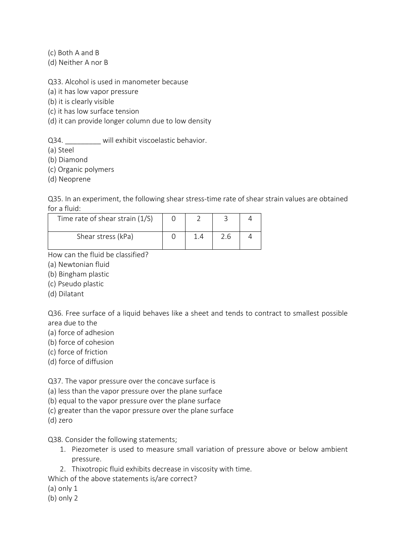(c) Both A and B

(d) Neither A nor B

Q33. Alcohol is used in manometer because

(a) it has low vapor pressure

(b) it is clearly visible

(c) it has low surface tension

(d) it can provide longer column due to low density

Q34. will exhibit viscoelastic behavior.

(a) Steel

(b) Diamond

(c) Organic polymers

(d) Neoprene

Q35. In an experiment, the following shear stress-time rate of shear strain values are obtained for a fluid:

| Time rate of shear strain (1/S) |  |  |
|---------------------------------|--|--|
| Shear stress (kPa)              |  |  |

How can the fluid be classified?

- (a) Newtonian fluid
- (b) Bingham plastic
- (c) Pseudo plastic
- (d) Dilatant

Q36. Free surface of a liquid behaves like a sheet and tends to contract to smallest possible area due to the

- (a) force of adhesion
- (b) force of cohesion
- (c) force of friction
- (d) force of diffusion

Q37. The vapor pressure over the concave surface is

(a) less than the vapor pressure over the plane surface

(b) equal to the vapor pressure over the plane surface

(c) greater than the vapor pressure over the plane surface

(d) zero

Q38. Consider the following statements;

- 1. Piezometer is used to measure small variation of pressure above or below ambient pressure.
- 2. Thixotropic fluid exhibits decrease in viscosity with time.

Which of the above statements is/are correct?

- (a) only 1
- (b) only 2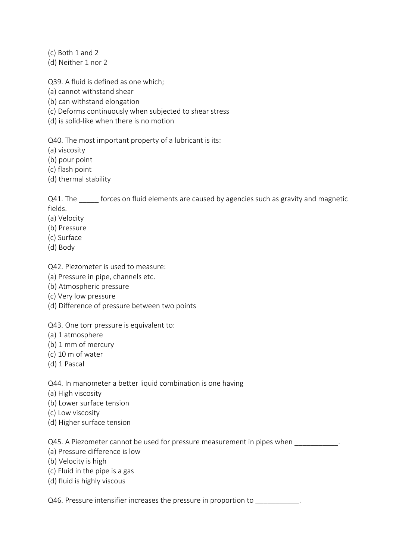(c) Both 1 and 2

(d) Neither 1 nor 2

Q39. A fluid is defined as one which;

(a) cannot withstand shear

(b) can withstand elongation

(c) Deforms continuously when subjected to shear stress

(d) is solid-like when there is no motion

Q40. The most important property of a lubricant is its:

(a) viscosity

(b) pour point

(c) flash point

(d) thermal stability

Q41. The forces on fluid elements are caused by agencies such as gravity and magnetic fields.

- (a) Velocity
- (b) Pressure
- (c) Surface
- (d) Body

Q42. Piezometer is used to measure:

- (a) Pressure in pipe, channels etc.
- (b) Atmospheric pressure
- (c) Very low pressure
- (d) Difference of pressure between two points

# Q43. One torr pressure is equivalent to:

- (a) 1 atmosphere
- (b) 1 mm of mercury
- (c) 10 m of water
- (d) 1 Pascal

Q44. In manometer a better liquid combination is one having

- (a) High viscosity
- (b) Lower surface tension
- (c) Low viscosity
- (d) Higher surface tension

Q45. A Piezometer cannot be used for pressure measurement in pipes when

- (a) Pressure difference is low
- (b) Velocity is high
- (c) Fluid in the pipe is a gas
- (d) fluid is highly viscous

Q46. Pressure intensifier increases the pressure in proportion to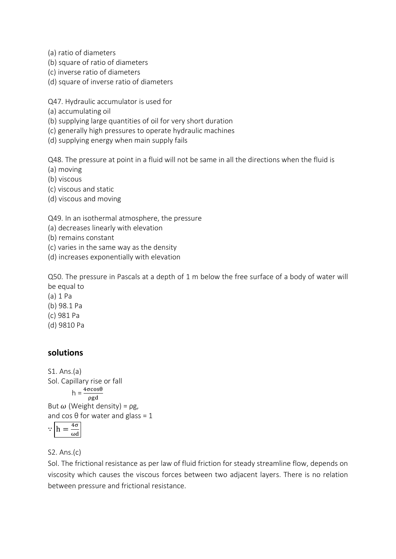(a) ratio of diameters

- (b) square of ratio of diameters
- (c) inverse ratio of diameters
- (d) square of inverse ratio of diameters

Q47. Hydraulic accumulator is used for

- (a) accumulating oil
- (b) supplying large quantities of oil for very short duration
- (c) generally high pressures to operate hydraulic machines
- (d) supplying energy when main supply fails

Q48. The pressure at point in a fluid will not be same in all the directions when the fluid is

- (a) moving
- (b) viscous

(c) viscous and static

(d) viscous and moving

Q49. In an isothermal atmosphere, the pressure

- (a) decreases linearly with elevation
- (b) remains constant
- (c) varies in the same way as the density
- (d) increases exponentially with elevation

Q50. The pressure in Pascals at a depth of 1 m below the free surface of a body of water will be equal to

- (a) 1 Pa (b) 98.1 Pa (c) 981 Pa
- (d) 9810 Pa

# **solutions**

S1. Ans.(a) Sol. Capillary rise or fall  $h = \frac{4\sigma \cos\theta}{\rho g d}$ But  $\omega$  (Weight density) = ρg, and cos  $\theta$  for water and glass = 1  $\because \left| h = \frac{4\sigma}{\sigma} \right|$ ωd

S2. Ans.(c)

Sol. The frictional resistance as per law of fluid friction for steady streamline flow, depends on viscosity which causes the viscous forces between two adjacent layers. There is no relation between pressure and frictional resistance.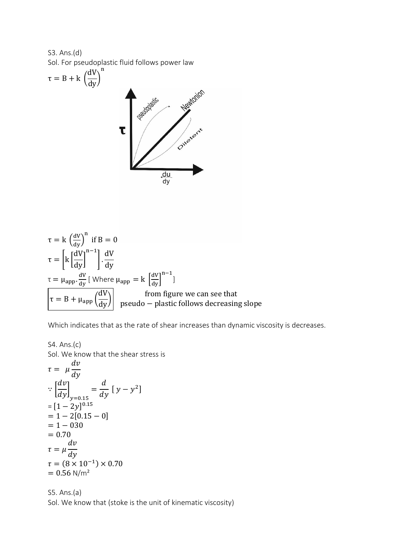S3. Ans.(d) Sol. For pseudoplastic fluid follows power law

$$
\tau = B + k \left(\frac{dV}{dy}\right)^n
$$

$$
\tau = k \left(\frac{dV}{dy}\right)^n \text{ if } B = 0
$$
  
\n
$$
\tau = \left[k \left[\frac{dV}{dy}\right]^{n-1}\right] \cdot \frac{dV}{dy}
$$
  
\n
$$
\tau = \mu_{app} \cdot \frac{dV}{dy} \text{ [Where } \mu_{app} = k \left[\frac{dV}{dy}\right]^{n-1}\text{]}
$$
  
\n
$$
\tau = B + \mu_{app} \left(\frac{dV}{dy}\right) \qquad \text{from figure we can see that}
$$
  
\npseudo – plastic follows decreasing slope

Which indicates that as the rate of shear increases than dynamic viscosity is decreases.

S4. Ans.(c)  
\nSol. We know that the shear stress is  
\n
$$
\tau = \mu \frac{dv}{dy}
$$
\n
$$
\therefore \left[\frac{dv}{dy}\right]_{y=0.15} = \frac{d}{dy} [y - y^2]
$$
\n
$$
= [1 - 2y]^{0.15}
$$
\n
$$
= 1 - 2[0.15 - 0]
$$
\n
$$
= 1 - 030
$$
\n
$$
= 0.70
$$
\n
$$
\tau = \mu \frac{dv}{dy}
$$
\n
$$
\tau = (8 \times 10^{-1}) \times 0.70
$$
\n
$$
= 0.56 \text{ N/m}^2
$$

S5. Ans.(a) Sol. We know that (stoke is the unit of kinematic viscosity)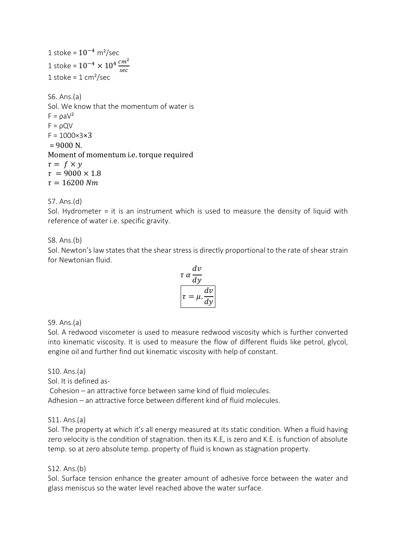1 stoke =  $10^{-4}$  m<sup>2</sup>/sec 1 stoke =  $10^{-4} \times 10^4 \frac{cm^2}{cm^2}$ sec 1 stoke =  $1 \text{ cm}^2/\text{sec}$ 

S6. Ans.(a) Sol. We know that the momentum of water is  $F = \rho a V^2$  $F = \rho Q V$  $F = 1000 \times 3 \times 3$  $= 9000 N$ . Moment of momentum i.e. torque required  $\tau = f \times y$  $\tau = 9000 \times 1.8$  $\tau = 16200$  Nm

S7. Ans.(d)

Sol. Hydrometer = it is an instrument which is used to measure the density of liquid with reference of water i.e. specific gravity.

#### S8. Ans.(b)

Sol. Newton's law states that the shear stress is directly proportional to the rate of shear strain for Newtonian fluid.

$$
\tau \alpha \frac{dv}{dy}
$$

$$
\tau = \mu \frac{dv}{dy}
$$

#### S9. Ans.(a)

Sol. A redwood viscometer is used to measure redwood viscosity which is further converted into kinematic viscosity. It is used to measure the flow of different fluids like petrol, glycol, engine oil and further find out kinematic viscosity with help of constant.

S10. Ans.(a) Sol. It is defined as-Cohesion – an attractive force between same kind of fluid molecules. Adhesion – an attractive force between different kind of fluid molecules.

S11. Ans.(a)

Sol. The property at which it's all energy measured at its static condition. When a fluid having zero velocity is the condition of stagnation. then its K.E, is zero and K.E. is function of absolute temp. so at zero absolute temp. property of fluid is known as stagnation property.

#### S12. Ans.(b)

Sol. Surface tension enhance the greater amount of adhesive force between the water and glass meniscus so the water level reached above the water surface.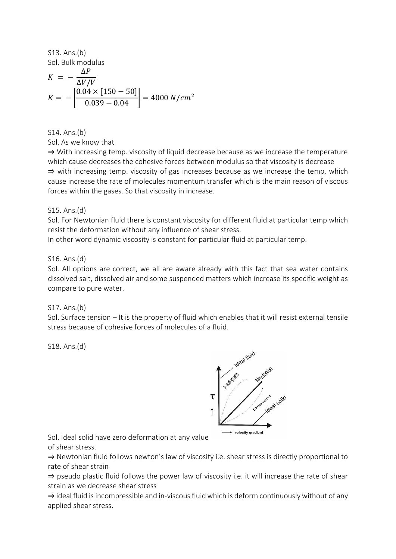S13. Ans.(b) Sol. Bulk modulus

$$
K = -\frac{\Delta P}{\Delta V/V}
$$
  

$$
K = -\left[\frac{0.04 \times [150 - 50]}{0.039 - 0.04}\right] = 4000 \ N/cm^2
$$

S14. Ans.(b)

Sol. As we know that

⇒ With increasing temp. viscosity of liquid decrease because as we increase the temperature which cause decreases the cohesive forces between modulus so that viscosity is decrease ⇒ with increasing temp. viscosity of gas increases because as we increase the temp. which cause increase the rate of molecules momentum transfer which is the main reason of viscous forces within the gases. So that viscosity in increase.

#### S15. Ans.(d)

Sol. For Newtonian fluid there is constant viscosity for different fluid at particular temp which resist the deformation without any influence of shear stress.

In other word dynamic viscosity is constant for particular fluid at particular temp.

#### S16. Ans.(d)

Sol. All options are correct, we all are aware already with this fact that sea water contains dissolved salt, dissolved air and some suspended matters which increase its specific weight as compare to pure water.

# S17. Ans.(b)

Sol. Surface tension – It is the property of fluid which enables that it will resist external tensile stress because of cohesive forces of molecules of a fluid.

S18. Ans.(d)



Sol. Ideal solid have zero deformation at any value of shear stress.

⇒ Newtonian fluid follows newton's law of viscosity i.e. shear stress is directly proportional to rate of shear strain

⇒ pseudo plastic fluid follows the power law of viscosity i.e. it will increase the rate of shear strain as we decrease shear stress

⇒ ideal fluid is incompressible and in-viscous fluid which is deform continuously without of any applied shear stress.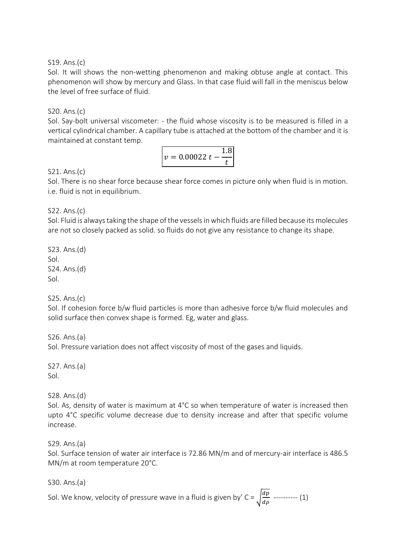### S19. Ans.(c)

Sol. It will shows the non-wetting phenomenon and making obtuse angle at contact. This phenomenon will show by mercury and Glass. In that case fluid will fall in the meniscus below the level of free surface of fluid.

### S20. Ans.(c)

Sol. Say-bolt universal viscometer: - the fluid whose viscosity is to be measured is filled in a vertical cylindrical chamber. A capillary tube is attached at the bottom of the chamber and it is maintained at constant temp.

$$
v = 0.00022 t - \frac{1.8}{t}
$$

#### S21. Ans.(c)

Sol. There is no shear force because shear force comes in picture only when fluid is in motion. i.e. fluid is not in equilibrium.

S22. Ans.(c)

Sol. Fluid is always taking the shape of the vessels in which fluids are filled because its molecules are not so closely packed as solid. so fluids do not give any resistance to change its shape.

S23. Ans.(d) Sol. S24. Ans.(d) Sol.

S25. Ans.(c)

Sol. If cohesion force b/w fluid particles is more than adhesive force b/w fluid molecules and solid surface then convex shape is formed. Eg, water and glass.

S26. Ans.(a) Sol. Pressure variation does not affect viscosity of most of the gases and liquids.

S27. Ans.(a) Sol.

S28. Ans.(d)

Sol. As, density of water is maximum at 4°C so when temperature of water is increased then upto 4°C specific volume decrease due to density increase and after that specific volume increase.

S29. Ans.(a)

Sol. Surface tension of water air interface is 72.86 MN/m and of mercury-air interface is 486.5 MN/m at room temperature 20°C.

S30. Ans.(a)

Sol. We know, velocity of pressure wave in a fluid is given by' C =  $\int \frac{dp}{dx}$  $\frac{ap}{d\rho}$  ---------- (1)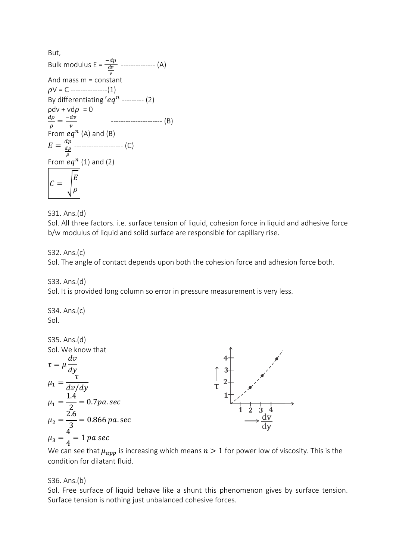But, Bulk modulus E =  $\frac{-dp}{dv}$  $\boldsymbol{v}$  -------------- (A) And mass m = constant  $\rho V = C$  ---------------(1) By differentiating  $'eq^n$  --------- (2)  $\rho$ dv + vd $\rho = 0$  $d\rho$  $\frac{d\rho}{\rho} = \frac{-dv}{v}$  $\boldsymbol{\mathcal{V}}$  --------------------- (B) From  $eq^n$  (A) and (B)  $E=\frac{dp}{d\rho}$  $d\rho$  $\rho$ -------------------- (C) From  $eq^n$  (1) and (2)  $C = |$  $E_{\rm}$  $\rho$ 

S31. Ans.(d)

Sol. All three factors. i.e. surface tension of liquid, cohesion force in liquid and adhesive force b/w modulus of liquid and solid surface are responsible for capillary rise.

#### S32. Ans.(c)

Sol. The angle of contact depends upon both the cohesion force and adhesion force both.

S33. Ans.(d)

Sol. It is provided long column so error in pressure measurement is very less.

S34. Ans.(c) Sol.



We can see that  $\mu_{app}$  is increasing which means  $n > 1$  for power low of viscosity. This is the condition for dilatant fluid.

#### S36. Ans.(b)

Sol. Free surface of liquid behave like a shunt this phenomenon gives by surface tension. Surface tension is nothing just unbalanced cohesive forces.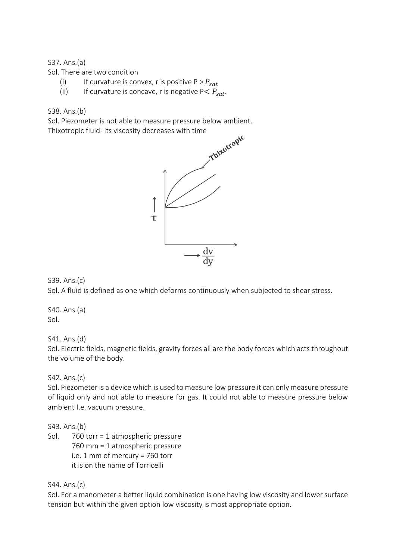### S37. Ans.(a)

Sol. There are two condition

- (i) If curvature is convex, r is positive  $P > P_{sat}$
- (ii) If curvature is concave, r is negative  $P \leq P_{\text{sat}}$ .

### S38. Ans.(b)

Sol. Piezometer is not able to measure pressure below ambient.



# S39. Ans.(c)

Sol. A fluid is defined as one which deforms continuously when subjected to shear stress.

S40. Ans.(a) Sol.

S41. Ans.(d)

Sol. Electric fields, magnetic fields, gravity forces all are the body forces which acts throughout the volume of the body.

# S42. Ans.(c)

Sol. Piezometer is a device which is used to measure low pressure it can only measure pressure of liquid only and not able to measure for gas. It could not able to measure pressure below ambient I.e. vacuum pressure.

S43. Ans.(b)

Sol. 760 torr = 1 atmospheric pressure 760 mm = 1 atmospheric pressure i.e. 1 mm of mercury = 760 torr it is on the name of Torricelli

#### S44. Ans.(c)

Sol. For a manometer a better liquid combination is one having low viscosity and lower surface tension but within the given option low viscosity is most appropriate option.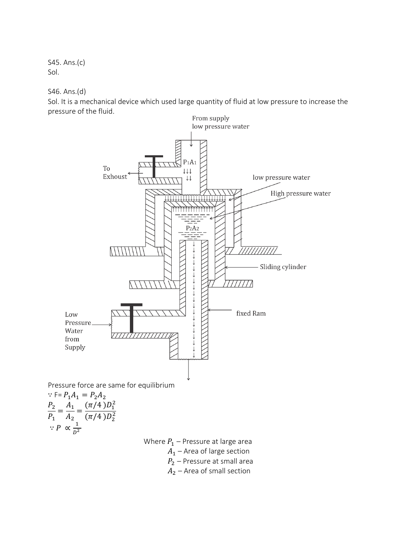S45. Ans.(c) Sol.

S46. Ans.(d)

Sol. It is a mechanical device which used large quantity of fluid at low pressure to increase the pressure of the fluid.



Pressure force are same for equilibrium

$$
\therefore F = P_1 A_1 = P_2 A_2
$$
  
\n
$$
\frac{P_2}{P_1} = \frac{A_1}{A_2} = \frac{(\pi/4) D_1^2}{(\pi/4) D_2^2}
$$
  
\n
$$
\therefore P \propto \frac{1}{D^2}
$$

Where  $P_1$  – Pressure at large area

 $A_1$  – Area of large section

 $P_2$  – Pressure at small area

 $A_2$  – Area of small section